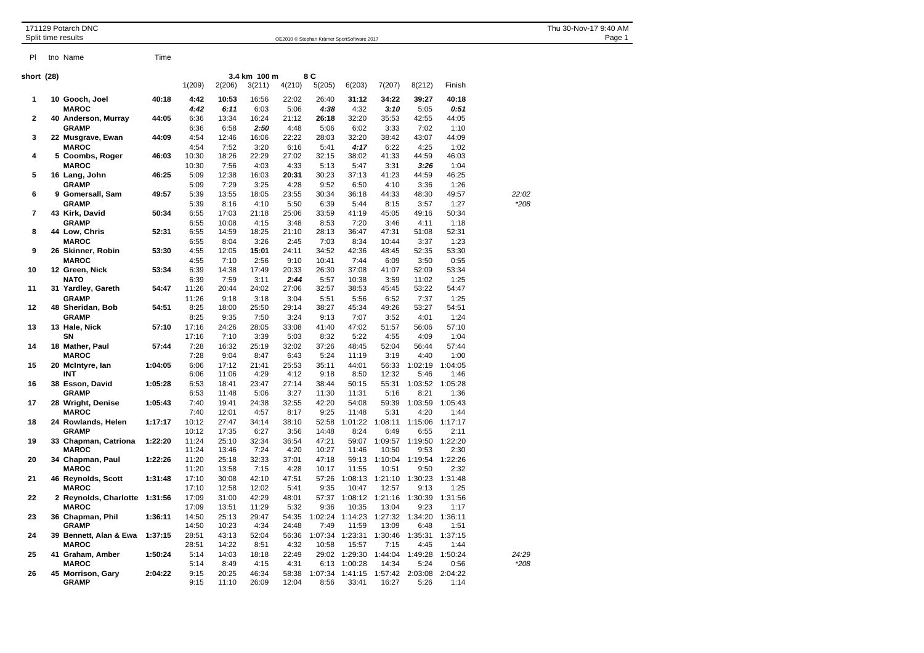|                         | 171129 Potarch DNC<br>Split time results |         |                |                | Thu 30-Nov-17 9:40 AM<br>Page 1 |                |                 |                  |                  |                 |                 |        |  |
|-------------------------|------------------------------------------|---------|----------------|----------------|---------------------------------|----------------|-----------------|------------------|------------------|-----------------|-----------------|--------|--|
| PI                      | tno Name                                 | Time    |                |                |                                 |                |                 |                  |                  |                 |                 |        |  |
| short (28)              |                                          |         |                |                | 3.4 km 100 m                    |                | 8 C             |                  |                  |                 |                 |        |  |
|                         |                                          |         | 1(209)         | 2(206)         | 3(211)                          | 4(210)         | 5(205)          | 6(203)           | 7(207)           | 8(212)          | Finish          |        |  |
| 1                       | 10 Gooch, Joel                           | 40:18   | 4:42           | 10:53          | 16:56                           | 22:02          | 26:40           | 31:12            | 34:22            | 39:27           | 40:18           |        |  |
|                         | <b>MAROC</b>                             |         | 4:42           | 6:11           | 6:03                            | 5:06           | 4:38            | 4:32             | 3:10             | 5:05            | 0:51            |        |  |
| $\overline{\mathbf{c}}$ | 40 Anderson, Murray                      | 44:05   | 6:36           | 13:34          | 16:24                           | 21:12          | 26:18           | 32:20            | 35:53            | 42:55           | 44:05           |        |  |
|                         | <b>GRAMP</b>                             |         | 6:36           | 6:58           | 2:50                            | 4:48           | 5:06            | 6:02             | 3:33             | 7:02            | 1:10            |        |  |
| 3                       | 22 Musgrave, Ewan<br><b>MAROC</b>        | 44:09   | 4:54           | 12:46          | 16:06                           | 22:22          | 28:03           | 32:20            | 38:42            | 43:07           | 44:09           |        |  |
| 4                       | 5 Coombs, Roger                          | 46:03   | 4:54<br>10:30  | 7:52<br>18:26  | 3:20<br>22:29                   | 6:16<br>27:02  | 5:41<br>32:15   | 4:17<br>38:02    | 6:22<br>41:33    | 4:25<br>44:59   | 1:02<br>46:03   |        |  |
|                         | <b>MAROC</b>                             |         | 10:30          | 7:56           | 4:03                            | 4:33           | 5:13            | 5:47             | 3:31             | 3:26            | 1:04            |        |  |
| 5                       | 16 Lang, John                            | 46:25   | 5:09           | 12:38          | 16:03                           | 20:31          | 30:23           | 37:13            | 41:23            | 44:59           | 46:25           |        |  |
|                         | <b>GRAMP</b>                             |         | 5:09           | 7:29           | 3:25                            | 4:28           | 9:52            | 6:50             | 4:10             | 3:36            | 1:26            |        |  |
| 6                       | 9 Gomersall, Sam                         | 49:57   | 5:39           | 13:55          | 18:05                           | 23:55          | 30:34           | 36:18            | 44:33            | 48:30           | 49:57           | 22:02  |  |
| 7                       | <b>GRAMP</b>                             |         | 5:39           | 8:16           | 4:10                            | 5:50           | 6:39            | 5:44             | 8:15             | 3:57            | 1:27            | $*208$ |  |
|                         | 43 Kirk, David<br><b>GRAMP</b>           | 50:34   | 6:55<br>6:55   | 17:03<br>10:08 | 21:18<br>4:15                   | 25:06<br>3:48  | 33:59<br>8:53   | 41:19<br>7:20    | 45:05<br>3:46    | 49:16<br>4:11   | 50:34<br>1:18   |        |  |
| 8                       | 44 Low, Chris                            | 52:31   | 6:55           | 14:59          | 18:25                           | 21:10          | 28:13           | 36:47            | 47:31            | 51:08           | 52:31           |        |  |
|                         | <b>MAROC</b>                             |         | 6:55           | 8:04           | 3:26                            | 2:45           | 7:03            | 8:34             | 10:44            | 3:37            | 1:23            |        |  |
| 9                       | 26 Skinner, Robin                        | 53:30   | 4:55           | 12:05          | 15:01                           | 24:11          | 34:52           | 42:36            | 48:45            | 52:35           | 53:30           |        |  |
|                         | <b>MAROC</b>                             |         | 4:55           | 7:10           | 2:56                            | 9:10           | 10:41           | 7:44             | 6:09             | 3:50            | 0:55            |        |  |
| 10                      | 12 Green, Nick                           | 53:34   | 6:39           | 14:38          | 17:49                           | 20:33          | 26:30           | 37:08            | 41:07            | 52:09           | 53:34           |        |  |
|                         | <b>NATO</b>                              |         | 6:39           | 7:59           | 3:11                            | 2:44           | 5:57            | 10:38            | 3:59             | 11:02           | 1:25            |        |  |
| 11                      | 31 Yardley, Gareth<br><b>GRAMP</b>       | 54:47   | 11:26<br>11:26 | 20:44<br>9:18  | 24:02<br>3:18                   | 27:06<br>3:04  | 32:57<br>5:51   | 38:53<br>5:56    | 45:45<br>6:52    | 53:22<br>7:37   | 54:47<br>1:25   |        |  |
| 12                      | 48 Sheridan, Bob                         | 54:51   | 8:25           | 18:00          | 25:50                           | 29:14          | 38:27           | 45:34            | 49:26            | 53:27           | 54:51           |        |  |
|                         | <b>GRAMP</b>                             |         | 8:25           | 9:35           | 7:50                            | 3:24           | 9:13            | 7:07             | 3:52             | 4:01            | 1:24            |        |  |
| 13                      | 13 Hale, Nick                            | 57:10   | 17:16          | 24:26          | 28:05                           | 33:08          | 41:40           | 47:02            | 51:57            | 56:06           | 57:10           |        |  |
|                         | SN                                       |         | 17:16          | 7:10           | 3:39                            | 5:03           | 8:32            | 5:22             | 4:55             | 4:09            | 1:04            |        |  |
| 14                      | 18 Mather, Paul                          | 57:44   | 7:28           | 16:32          | 25:19                           | 32:02          | 37:26           | 48:45            | 52:04            | 56:44           | 57:44           |        |  |
|                         | <b>MAROC</b>                             |         | 7:28           | 9:04           | 8:47                            | 6:43           | 5:24            | 11:19            | 3:19             | 4:40            | 1:00            |        |  |
| 15                      | 20 McIntyre, lan<br>INT                  | 1:04:05 | 6:06<br>6:06   | 17:12<br>11:06 | 21:41<br>4:29                   | 25:53<br>4:12  | 35:11<br>9:18   | 44:01<br>8:50    | 56:33<br>12:32   | 1:02:19<br>5:46 | 1:04:05<br>1:46 |        |  |
| 16                      | 38 Esson, David                          | 1:05:28 | 6:53           | 18:41          | 23:47                           | 27:14          | 38:44           | 50:15            | 55:31            | 1:03:52         | 1:05:28         |        |  |
|                         | <b>GRAMP</b>                             |         | 6:53           | 11:48          | 5:06                            | 3:27           | 11:30           | 11:31            | 5:16             | 8:21            | 1:36            |        |  |
| 17                      | 28 Wright, Denise                        | 1:05:43 | 7:40           | 19:41          | 24:38                           | 32:55          | 42:20           | 54:08            | 59:39            | 1:03:59         | 1:05:43         |        |  |
|                         | <b>MAROC</b>                             |         | 7:40           | 12:01          | 4:57                            | 8:17           | 9:25            | 11:48            | 5:31             | 4:20            | 1:44            |        |  |
| 18                      | 24 Rowlands, Helen                       | 1:17:17 | 10:12          | 27:47          | 34:14                           | 38:10          | 52:58           | 1:01:22          | 1:08:11          | 1:15:06         | 1:17:17         |        |  |
| 19                      | <b>GRAMP</b><br>33 Chapman, Catriona     | 1:22:20 | 10:12<br>11:24 | 17:35<br>25:10 | 6:27<br>32:34                   | 3:56<br>36:54  | 14:48<br>47:21  | 8:24<br>59:07    | 6:49<br>1:09:57  | 6:55<br>1:19:50 | 2:11<br>1:22:20 |        |  |
|                         | <b>MAROC</b>                             |         | 11:24          | 13:46          | 7:24                            | 4:20           | 10:27           | 11:46            | 10:50            | 9:53            | 2:30            |        |  |
| 20                      | 34 Chapman, Paul                         | 1:22:26 | 11:20          | 25:18          | 32:33                           | 37:01          | 47:18           | 59:13            | 1:10:04          | 1:19:54         | 1:22:26         |        |  |
|                         | <b>MAROC</b>                             |         | 11:20          | 13:58          | 7:15                            | 4:28           | 10:17           | 11:55            | 10:51            | 9:50            | 2:32            |        |  |
| 21                      | 46 Reynolds, Scott                       | 1:31:48 | 17:10          | 30:08          | 42:10                           | 47:51          | 57:26           | 1:08:13          | 1:21:10          | 1:30:23         | 1:31:48         |        |  |
|                         | <b>MAROC</b>                             |         | 17:10          | 12:58          | 12:02                           | 5:41           | 9:35            | 10:47            | 12:57            | 9:13            | 1:25            |        |  |
| 22                      | 2 Reynolds, Charlotte                    | 1:31:56 | 17:09          | 31:00          | 42:29                           | 48:01          | 57:37           | 1:08:12          | 1:21:16          | 1:30:39         | 1:31:56         |        |  |
| 23                      | <b>MAROC</b><br>36 Chapman, Phil         | 1:36:11 | 17:09<br>14:50 | 13:51<br>25:13 | 11:29<br>29:47                  | 5:32<br>54:35  | 9:36<br>1:02:24 | 10:35<br>1:14:23 | 13:04<br>1:27:32 | 9:23<br>1:34:20 | 1:17<br>1:36:11 |        |  |
|                         | <b>GRAMP</b>                             |         | 14:50          | 10:23          | 4:34                            | 24:48          | 7:49            | 11:59            | 13:09            | 6:48            | 1:51            |        |  |
| 24                      | 39 Bennett, Alan & Ewa                   | 1:37:15 | 28:51          | 43:13          | 52:04                           | 56:36          | 1:07:34         | 1:23:31          | 1:30:46          | 1:35:31         | 1:37:15         |        |  |
|                         | <b>MAROC</b>                             |         | 28:51          | 14:22          | 8:51                            | 4:32           | 10:58           | 15:57            | 7:15             | 4:45            | 1:44            |        |  |
| 25                      | 41 Graham, Amber                         | 1:50:24 | 5:14           | 14:03          | 18:18                           | 22:49          | 29:02           | 1:29:30          | 1:44:04          | 1:49:28         | 1:50:24         | 24:29  |  |
| 26                      | <b>MAROC</b>                             |         | 5:14           | 8:49           | 4:15                            | 4:31           | 6:13            | 1:00:28          | 14:34            | 5:24            | 0:56            | $*208$ |  |
|                         | 45 Morrison, Gary<br><b>GRAMP</b>        | 2:04:22 | 9:15<br>9:15   | 20:25<br>11:10 | 46:34<br>26:09                  | 58:38<br>12:04 | 1:07:34<br>8:56 | 1:41:15<br>33:41 | 1:57:42<br>16:27 | 2:03:08<br>5:26 | 2:04:22<br>1:14 |        |  |